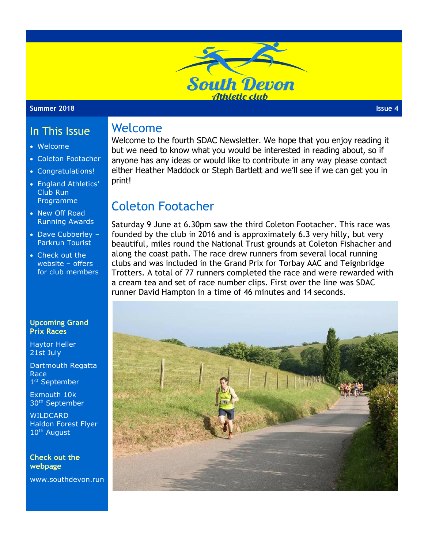

#### **Summer 2018 Issue 4**

## In This Issue

- Welcome
- Coleton Footacher
- Congratulations!
- England Athletics' Club Run Programme
- New Off Road Running Awards
- Dave Cubberley Parkrun Tourist
- Check out the website – offers for club members

#### **Upcoming Grand Prix Races**

Haytor Heller 21st July

Dartmouth Regatta Race 1 st September

Exmouth 10k 30th September

WILDCARD Haldon Forest Flyer 10th August

**Check out the webpage**

www.southdevon.run

Welcome to the fourth SDAC Newsletter. We hope that you enjoy reading it but we need to know what you would be interested in reading about, so if anyone has any ideas or would like to contribute in any way please contact either Heather Maddock or Steph Bartlett and we'll see if we can get you in print!

# Coleton Footacher

Welcome

Saturday 9 June at 6.30pm saw the third Coleton Footacher. This race was founded by the club in 2016 and is approximately 6.3 very hilly, but very beautiful, miles round the National Trust grounds at Coleton Fishacher and along the coast path. The race drew runners from several local running clubs and was included in the Grand Prix for Torbay AAC and Teignbridge Trotters. A total of 77 runners completed the race and were rewarded with a cream tea and set of race number clips. First over the line was SDAC runner David Hampton in a time of 46 minutes and 14 seconds.

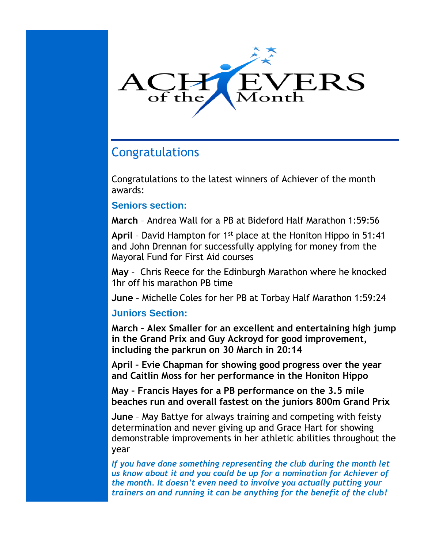

# Congratulations

Congratulations to the latest winners of Achiever of the month awards:

### **Seniors section:**

**March** – Andrea Wall for a PB at Bideford Half Marathon 1:59:56

**April** – David Hampton for 1st place at the Honiton Hippo in 51:41 and John Drennan for successfully applying for money from the Mayoral Fund for First Aid courses

**May** – Chris Reece for the Edinburgh Marathon where he knocked 1hr off his marathon PB time

**June –** Michelle Coles for her PB at Torbay Half Marathon 1:59:24

### **Juniors Section:**

**March – Alex Smaller for an excellent and entertaining high jump in the Grand Prix and Guy Ackroyd for good improvement, including the parkrun on 30 March in 20:14**

**April – Evie Chapman for showing good progress over the year and Caitlin Moss for her performance in the Honiton Hippo**

**May – Francis Hayes for a PB performance on the 3.5 mile beaches run and overall fastest on the juniors 800m Grand Prix**

**June** – May Battye for always training and competing with feisty determination and never giving up and Grace Hart for showing demonstrable improvements in her athletic abilities throughout the year

*If you have done something representing the club during the month let us know about it and you could be up for a nomination for Achiever of the month. It doesn't even need to involve you actually putting your trainers on and running it can be anything for the benefit of the club!*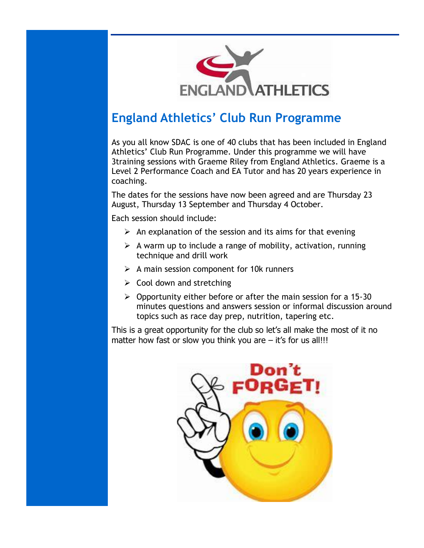

# **England Athletics' Club Run Programme**

As you all know SDAC is one of 40 clubs that has been included in England Athletics' Club Run Programme. Under this programme we will have 3training sessions with Graeme Riley from England Athletics. Graeme is a Level 2 Performance Coach and EA Tutor and has 20 years experience in coaching.

The dates for the sessions have now been agreed and are Thursday 23 August, Thursday 13 September and Thursday 4 October.

Each session should include:

- $\triangleright$  An explanation of the session and its aims for that evening
- $\triangleright$  A warm up to include a range of mobility, activation, running technique and drill work
- $\triangleright$  A main session component for 10k runners
- $\triangleright$  Cool down and stretching
- $\triangleright$  Opportunity either before or after the main session for a 15-30 minutes questions and answers session or informal discussion around topics such as race day prep, nutrition, tapering etc.

This is a great opportunity for the club so let's all make the most of it no matter how fast or slow you think you are  $-$  it's for us all!!!

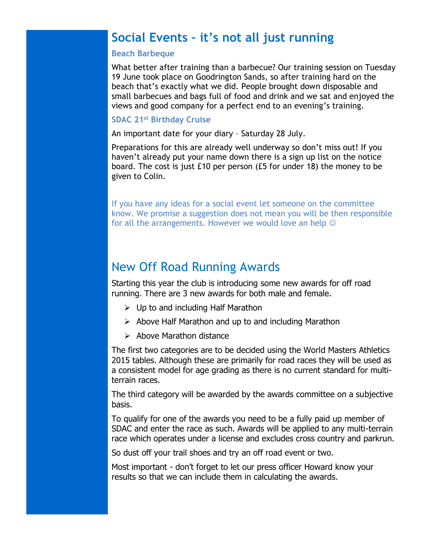## **Social Events – it's not all just running**

#### **Beach Barbeque**

What better after training than a barbecue? Our training session on Tuesday 19 June took place on Goodrington Sands, so after training hard on the beach that's exactly what we did. People brought down disposable and small barbecues and bags full of food and drink and we sat and enjoyed the views and good company for a perfect end to an evening's training.

#### **SDAC 21st Birthday Cruise**

An important date for your diary – Saturday 28 July.

Preparations for this are already well underway so don't miss out! If you haven't already put your name down there is a sign up list on the notice board. The cost is just £10 per person (£5 for under 18) the money to be given to Colin.

If you have any ideas for a social event let someone on the committee know. We promise a suggestion does not mean you will be then responsible for all the arrangements. However we would love an help  $\odot$ 

### New Off Road Running Awards

Starting this year the club is introducing some new awards for off road running. There are 3 new awards for both male and female.

- $\triangleright$  Up to and including Half Marathon
- $\triangleright$  Above Half Marathon and up to and including Marathon
- $\triangleright$  Above Marathon distance

The first two categories are to be decided using the World Masters Athletics 2015 tables. Although these are primarily for road races they will be used as a consistent model for age grading as there is no current standard for multiterrain races.

The third category will be awarded by the awards committee on a subjective basis.

To qualify for one of the awards you need to be a fully paid up member of SDAC and enter the race as such. Awards will be applied to any multi-terrain race which operates under a license and excludes cross country and parkrun.

So dust off your trail shoes and try an off road event or two.

Most important - don't forget to let our press officer Howard know your results so that we can include them in calculating the awards.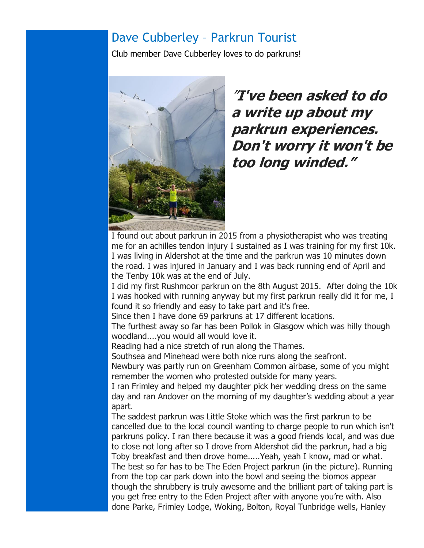## Dave Cubberley – Parkrun Tourist

Club member Dave Cubberley loves to do parkruns!



"**I've been asked to do a write up about my parkrun experiences. Don't worry it won't be too long winded."**

I found out about parkrun in 2015 from a physiotherapist who was treating me for an achilles tendon injury I sustained as I was training for my first 10k. I was living in Aldershot at the time and the parkrun was 10 minutes down the road. I was injured in January and I was back running end of April and the Tenby 10k was at the end of July.

I did my first Rushmoor parkrun on the 8th August 2015. After doing the 10k I was hooked with running anyway but my first parkrun really did it for me, I found it so friendly and easy to take part and it's free.

Since then I have done 69 parkruns at 17 different locations.

The furthest away so far has been Pollok in Glasgow which was hilly though woodland....you would all would love it.

Reading had a nice stretch of run along the Thames.

Southsea and Minehead were both nice runs along the seafront.

Newbury was partly run on Greenham Common airbase, some of you might remember the women who protested outside for many years.

I ran Frimley and helped my daughter pick her wedding dress on the same day and ran Andover on the morning of my daughter's wedding about a year apart.

The saddest parkrun was Little Stoke which was the first parkrun to be cancelled due to the local council wanting to charge people to run which isn't parkruns policy. I ran there because it was a good friends local, and was due to close not long after so I drove from Aldershot did the parkrun, had a big Toby breakfast and then drove home.....Yeah, yeah I know, mad or what. The best so far has to be The Eden Project parkrun (in the picture). Running from the top car park down into the bowl and seeing the biomos appear though the shrubbery is truly awesome and the brilliant part of taking part is you get free entry to the Eden Project after with anyone you're with. Also done Parke, Frimley Lodge, Woking, Bolton, Royal Tunbridge wells, Hanley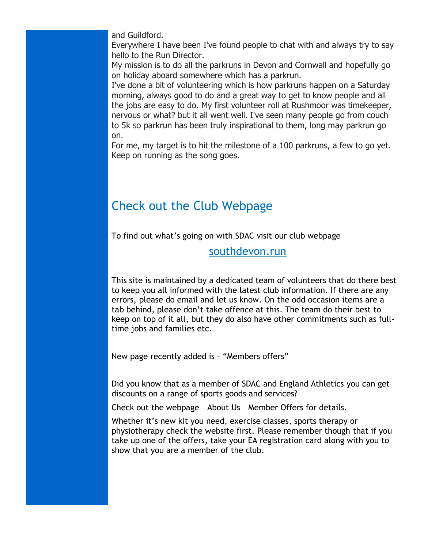and Guildford.

Everywhere I have been I've found people to chat with and always try to say hello to the Run Director.

My mission is to do all the parkruns in Devon and Cornwall and hopefully go on holiday aboard somewhere which has a parkrun.

I've done a bit of volunteering which is how parkruns happen on a Saturday morning, always good to do and a great way to get to know people and all the jobs are easy to do. My first volunteer roll at Rushmoor was timekeeper, nervous or what? but it all went well. I've seen many people go from couch to 5k so parkrun has been truly inspirational to them, long may parkrun go on.

For me, my target is to hit the milestone of a 100 parkruns, a few to go yet. Keep on running as the song goes.

# Check out the Club Webpage

To find out what's going on with SDAC visit our club webpage

### southdevon.run

This site is maintained by a dedicated team of volunteers that do there best to keep you all informed with the latest club information. If there are any errors, please do email and let us know. On the odd occasion items are a tab behind, please don't take offence at this. The team do their best to keep on top of it all, but they do also have other commitments such as fulltime jobs and families etc.

New page recently added is – "Members offers"

Did you know that as a member of SDAC and England Athletics you can get discounts on a range of sports goods and services?

Check out the webpage – About Us – Member Offers for details.

Whether it's new kit you need, exercise classes, sports therapy or physiotherapy check the website first. Please remember though that if you take up one of the offers, take your EA registration card along with you to show that you are a member of the club.